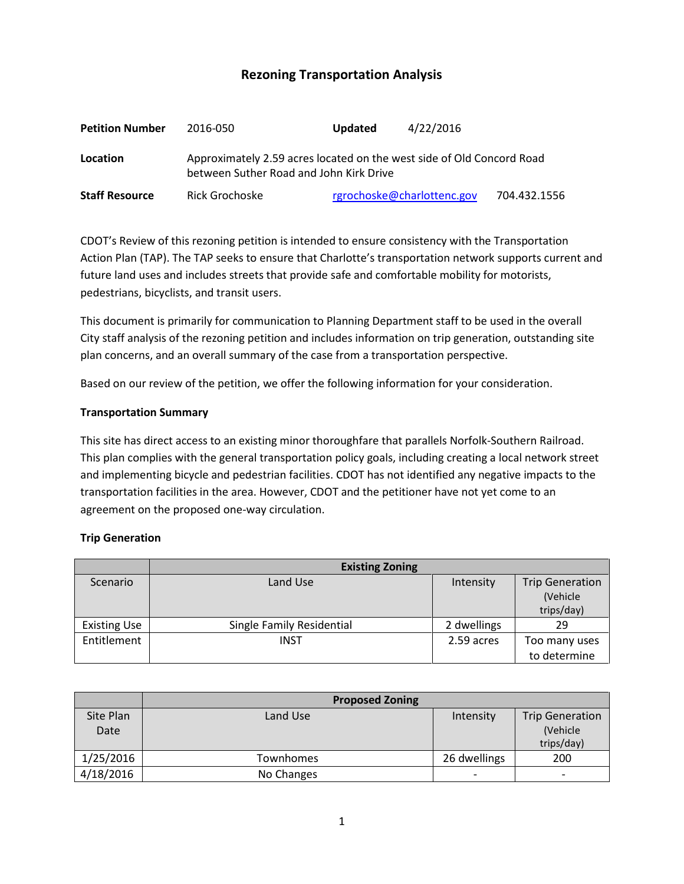# **Rezoning Transportation Analysis**

| <b>Petition Number</b> | 2016-050                                                                                                         | <b>Updated</b>             | 4/22/2016 |              |  |
|------------------------|------------------------------------------------------------------------------------------------------------------|----------------------------|-----------|--------------|--|
| Location               | Approximately 2.59 acres located on the west side of Old Concord Road<br>between Suther Road and John Kirk Drive |                            |           |              |  |
| <b>Staff Resource</b>  | Rick Grochoske                                                                                                   | rgrochoske@charlottenc.gov |           | 704.432.1556 |  |

CDOT's Review of this rezoning petition is intended to ensure consistency with the Transportation Action Plan (TAP). The TAP seeks to ensure that Charlotte's transportation network supports current and future land uses and includes streets that provide safe and comfortable mobility for motorists, pedestrians, bicyclists, and transit users.

This document is primarily for communication to Planning Department staff to be used in the overall City staff analysis of the rezoning petition and includes information on trip generation, outstanding site plan concerns, and an overall summary of the case from a transportation perspective.

Based on our review of the petition, we offer the following information for your consideration.

#### **Transportation Summary**

This site has direct access to an existing minor thoroughfare that parallels Norfolk-Southern Railroad. This plan complies with the general transportation policy goals, including creating a local network street and implementing bicycle and pedestrian facilities. CDOT has not identified any negative impacts to the transportation facilities in the area. However, CDOT and the petitioner have not yet come to an agreement on the proposed one-way circulation.

#### **Trip Generation**

|                     | <b>Existing Zoning</b>    |             |                                                  |  |
|---------------------|---------------------------|-------------|--------------------------------------------------|--|
| Scenario            | Land Use                  | Intensity   | <b>Trip Generation</b><br>(Vehicle<br>trips/day) |  |
| <b>Existing Use</b> | Single Family Residential | 2 dwellings | 29                                               |  |
| Entitlement         | INST                      | 2.59 acres  | Too many uses                                    |  |
|                     |                           |             | to determine                                     |  |

|           | <b>Proposed Zoning</b> |              |                          |
|-----------|------------------------|--------------|--------------------------|
| Site Plan | Land Use               | Intensity    | <b>Trip Generation</b>   |
| Date      |                        |              | (Vehicle                 |
|           |                        |              | trips/day)               |
| 1/25/2016 | Townhomes              | 26 dwellings | 200                      |
| 4/18/2016 | No Changes             |              | $\overline{\phantom{a}}$ |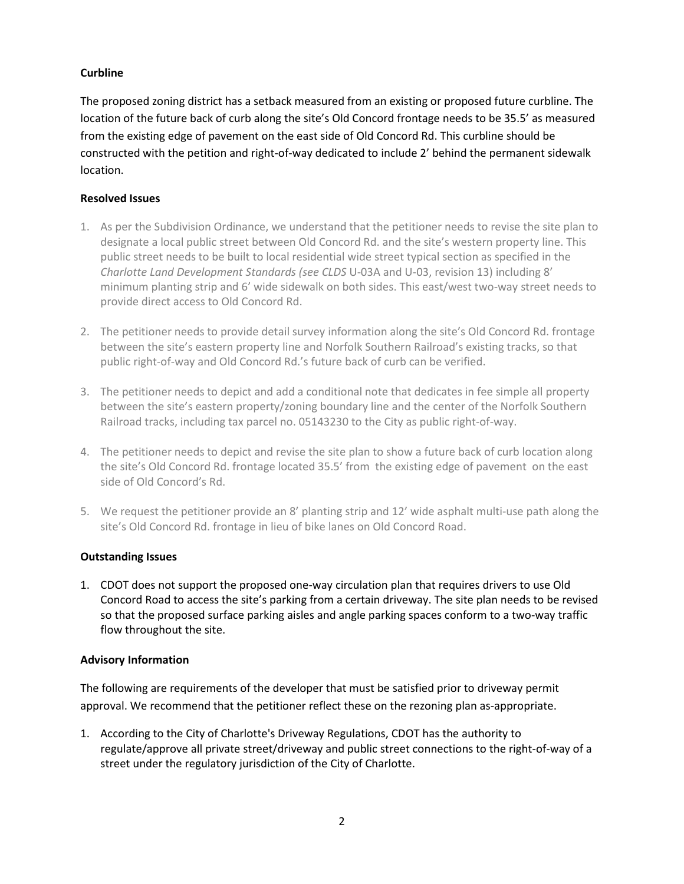## **Curbline**

The proposed zoning district has a setback measured from an existing or proposed future curbline. The location of the future back of curb along the site's Old Concord frontage needs to be 35.5' as measured from the existing edge of pavement on the east side of Old Concord Rd. This curbline should be constructed with the petition and right-of-way dedicated to include 2' behind the permanent sidewalk location.

## **Resolved Issues**

- 1. As per the Subdivision Ordinance, we understand that the petitioner needs to revise the site plan to designate a local public street between Old Concord Rd. and the site's western property line. This public street needs to be built to local residential wide street typical section as specified in the *Charlotte Land Development Standards (see CLDS* U-03A and U-03, revision 13) including 8' minimum planting strip and 6' wide sidewalk on both sides. This east/west two-way street needs to provide direct access to Old Concord Rd.
- 2. The petitioner needs to provide detail survey information along the site's Old Concord Rd. frontage between the site's eastern property line and Norfolk Southern Railroad's existing tracks, so that public right-of-way and Old Concord Rd.'s future back of curb can be verified.
- 3. The petitioner needs to depict and add a conditional note that dedicates in fee simple all property between the site's eastern property/zoning boundary line and the center of the Norfolk Southern Railroad tracks, including tax parcel no. 05143230 to the City as public right-of-way.
- 4. The petitioner needs to depict and revise the site plan to show a future back of curb location along the site's Old Concord Rd. frontage located 35.5' from the existing edge of pavement on the east side of Old Concord's Rd.
- 5. We request the petitioner provide an 8' planting strip and 12' wide asphalt multi-use path along the site's Old Concord Rd. frontage in lieu of bike lanes on Old Concord Road.

## **Outstanding Issues**

1. CDOT does not support the proposed one-way circulation plan that requires drivers to use Old Concord Road to access the site's parking from a certain driveway. The site plan needs to be revised so that the proposed surface parking aisles and angle parking spaces conform to a two-way traffic flow throughout the site.

## **Advisory Information**

The following are requirements of the developer that must be satisfied prior to driveway permit approval. We recommend that the petitioner reflect these on the rezoning plan as-appropriate.

1. According to the City of Charlotte's Driveway Regulations, CDOT has the authority to regulate/approve all private street/driveway and public street connections to the right-of-way of a street under the regulatory jurisdiction of the City of Charlotte.